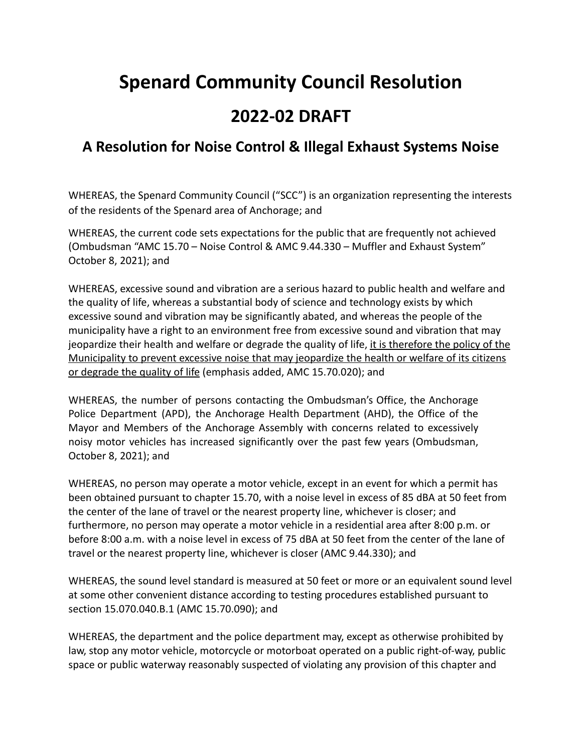## **Spenard Community Council Resolution 2022-02 DRAFT**

## **A Resolution for Noise Control & Illegal Exhaust Systems Noise**

WHEREAS, the Spenard Community Council ("SCC") is an organization representing the interests of the residents of the Spenard area of Anchorage; and

WHEREAS, the current code sets expectations for the public that are frequently not achieved (Ombudsman "AMC 15.70 – Noise Control & AMC 9.44.330 – Muffler and Exhaust System" October 8, 2021); and

WHEREAS, excessive sound and vibration are a serious hazard to public health and welfare and the quality of life, whereas a substantial body of science and technology exists by which excessive sound and vibration may be significantly abated, and whereas the people of the municipality have a right to an environment free from excessive sound and vibration that may jeopardize their health and welfare or degrade the quality of life, it is therefore the policy of the Municipality to prevent excessive noise that may jeopardize the health or welfare of its citizens or degrade the quality of life (emphasis added, AMC 15.70.020); and

WHEREAS, the number of persons contacting the Ombudsman's Office, the Anchorage Police Department (APD), the Anchorage Health Department (AHD), the Office of the Mayor and Members of the Anchorage Assembly with concerns related to excessively noisy motor vehicles has increased significantly over the past few years (Ombudsman, October 8, 2021); and

WHEREAS, no person may operate a motor vehicle, except in an event for which a permit has been obtained pursuant to [chapter 15.70](https://library.municode.com/ak/anchorage/codes/code_of_ordinances?nodeId=TIT15ENPR_CH15.70NOCO), with a noise level in excess of 85 dBA at 50 feet from the center of the lane of travel or the nearest property line, whichever is closer; and furthermore, no person may operate a motor vehicle in a residential area after 8:00 p.m. or before 8:00 a.m. with a noise level in excess of 75 dBA at 50 feet from the center of the lane of travel or the nearest property line, whichever is closer (AMC 9.44.330); and

WHEREAS, the sound level standard is measured at 50 feet or more or an equivalent sound level at some other convenient distance according to testing procedures established pursuant to section 15.070.040.B.1 (AMC 15.70.090); and

WHEREAS, the department and the police department may, except as otherwise prohibited by law, stop any motor vehicle, motorcycle or motorboat operated on a public right-of-way, public space or public waterway reasonably suspected of violating any provision of this chapter and